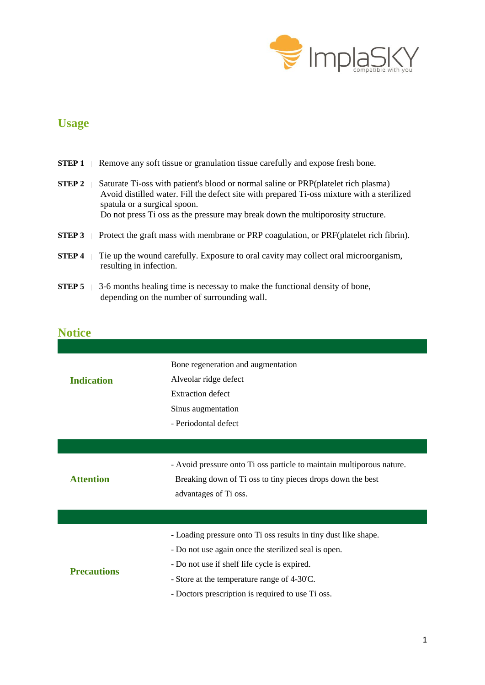

## **Usage**

| <b>STEP1</b>      |  | Remove any soft tissue or granulation tissue carefully and expose fresh bone.                                                                                                                                                                                                                        |
|-------------------|--|------------------------------------------------------------------------------------------------------------------------------------------------------------------------------------------------------------------------------------------------------------------------------------------------------|
| <b>STEP 2</b>     |  | Saturate Ti-oss with patient's blood or normal saline or PRP (platelet rich plasma)<br>Avoid distilled water. Fill the defect site with prepared Ti-oss mixture with a sterilized<br>spatula or a surgical spoon.<br>Do not press Ti oss as the pressure may break down the multiporosity structure. |
| STEP <sub>3</sub> |  | Protect the graft mass with membrane or PRP coagulation, or PRF (platelet rich fibrin).                                                                                                                                                                                                              |
| <b>STEP4</b>      |  | The up the wound carefully. Exposure to oral cavity may collect oral microorganism,<br>resulting in infection.                                                                                                                                                                                       |
| <b>STEP 5</b>     |  | 3-6 months healing time is necessay to make the functional density of bone,<br>depending on the number of surrounding wall.                                                                                                                                                                          |

## **Notice**

|                    | Bone regeneration and augmentation                                    |
|--------------------|-----------------------------------------------------------------------|
| <b>Indication</b>  | Alveolar ridge defect                                                 |
|                    | <b>Extraction defect</b>                                              |
|                    | Sinus augmentation                                                    |
|                    | - Periodontal defect                                                  |
|                    |                                                                       |
|                    |                                                                       |
|                    | - Avoid pressure onto Ti oss particle to maintain multiporous nature. |
| <b>Attention</b>   | Breaking down of Ti oss to tiny pieces drops down the best            |
|                    | advantages of Ti oss.                                                 |
|                    |                                                                       |
|                    |                                                                       |
|                    | - Loading pressure onto Ti oss results in tiny dust like shape.       |
|                    | - Do not use again once the sterilized seal is open.                  |
|                    | - Do not use if shelf life cycle is expired.                          |
| <b>Precautions</b> | - Store at the temperature range of 4-30°C.                           |
|                    | - Doctors prescription is required to use Ti oss.                     |